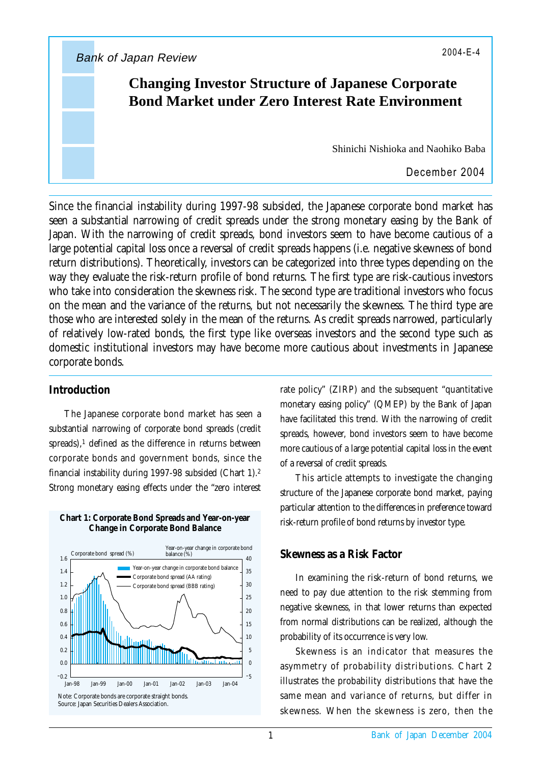Bank of Japan Review 2004-E-4

# **Changing Investor Structure of Japanese Corporate Bond Market under Zero Interest Rate Environment**

Shinichi Nishioka and Naohiko Baba

December 2004

Since the financial instability during 1997-98 subsided, the Japanese corporate bond market has seen a substantial narrowing of credit spreads under the strong monetary easing by the Bank of Japan. With the narrowing of credit spreads, bond investors seem to have become cautious of a large potential capital loss once a reversal of credit spreads happens (i.e. negative skewness of bond return distributions). Theoretically, investors can be categorized into three types depending on the way they evaluate the risk-return profile of bond returns. The first type are risk-cautious investors who take into consideration the skewness risk. The second type are traditional investors who focus on the mean and the variance of the returns, but not necessarily the skewness. The third type are those who are interested solely in the mean of the returns. As credit spreads narrowed, particularly of relatively low-rated bonds, the first type like overseas investors and the second type such as domestic institutional investors may have become more cautious about investments in Japanese corporate bonds.

## **Introduction**

The Japanese corporate bond market has seen a substantial narrowing of corporate bond spreads (credit spreads), $<sup>1</sup>$  defined as the difference in returns between</sup> corporate bonds and government bonds, since the financial instability during 1997-98 subsided (Chart 1).2 Strong monetary easing effects under the "zero interest



#### **Chart 1: Corporate Bond Spreads and Year-on-year Change in Corporate Bond Balance**

rate policy" (ZIRP) and the subsequent "quantitative monetary easing policy" (QMEP) by the Bank of Japan have facilitated this trend. With the narrowing of credit spreads, however, bond investors seem to have become more cautious of a large potential capital loss in the event of a reversal of credit spreads.

This article attempts to investigate the changing structure of the Japanese corporate bond market, paying particular attention to the differences in preference toward risk-return profile of bond returns by investor type.

### **Skewness as a Risk Factor**

In examining the risk-return of bond returns, we need to pay due attention to the risk stemming from negative skewness, in that lower returns than expected from normal distributions can be realized, although the probability of its occurrence is very low.

Skewness is an indicator that measures the asymmetry of probability distributions. Chart 2 illustrates the probability distributions that have the same mean and variance of returns, but differ in skewness. When the skewness is zero, then the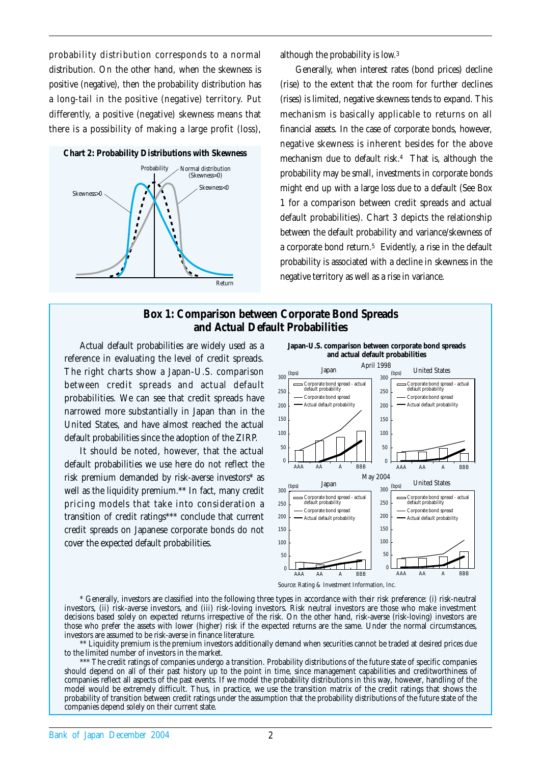probability distribution corresponds to a normal distribution. On the other hand, when the skewness is positive (negative), then the probability distribution has a long-tail in the positive (negative) territory. Put differently, a positive (negative) skewness means that there is a possibility of making a large profit (loss),



although the probability is low.3

Generally, when interest rates (bond prices) decline (rise) to the extent that the room for further declines (rises) is limited, negative skewness tends to expand. This mechanism is basically applicable to returns on all financial assets. In the case of corporate bonds, however, negative skewness is inherent besides for the above mechanism due to default risk.4 That is, although the probability may be small, investments in corporate bonds might end up with a large loss due to a default (See Box 1 for a comparison between credit spreads and actual default probabilities). Chart 3 depicts the relationship between the default probability and variance/skewness of a corporate bond return.5 Evidently, a rise in the default probability is associated with a decline in skewness in the negative territory as well as a rise in variance.

#### **Box 1: Comparison between Corporate Bond Spreads and Actual Default Probabilities**

Actual default probabilities are widely used as a reference in evaluating the level of credit spreads. The right charts show a Japan-U.S. comparison between credit spreads and actual default probabilities. We can see that credit spreads have narrowed more substantially in Japan than in the United States, and have almost reached the actual default probabilities since the adoption of the ZIRP.

It should be noted, however, that the actual default probabilities we use here do not reflect the risk premium demanded by risk-averse investors\* as well as the liquidity premium.\*\* In fact, many credit pricing models that take into consideration a transition of credit ratings\*\*\* conclude that current credit spreads on Japanese corporate bonds do not cover the expected default probabilities.





Source: Rating & Investment Information, Inc.

\* Generally, investors are classified into the following three types in accordance with their risk preference: (i) risk-neutral investors, (ii) risk-averse investors, and (iii) risk-loving investors. Risk neutral investors are those who make investment decisions based solely on expected returns irrespective of the risk. On the other hand, risk-averse (risk-loving) investors are those who prefer the assets with lower (higher) risk if the expected returns are the same. Under the normal circumstances, investors are assumed to be risk-averse in finance literature.

\*\* Liquidity premium is the premium investors additionally demand when securities cannot be traded at desired prices due to the limited number of investors in the market.

\*\*\* The credit ratings of companies undergo a transition. Probability distributions of the future state of specific companies should depend on all of their past history up to the point in time, since management capabilities and creditworthiness of companies reflect all aspects of the past events. If we model the probability distributions in this way, however, handling of the model would be extremely difficult. Thus, in practice, we use the transition matrix of the credit ratings that shows the probability of transition between credit ratings under the assumption that the probability distributions of the future state of the companies depend solely on their current state.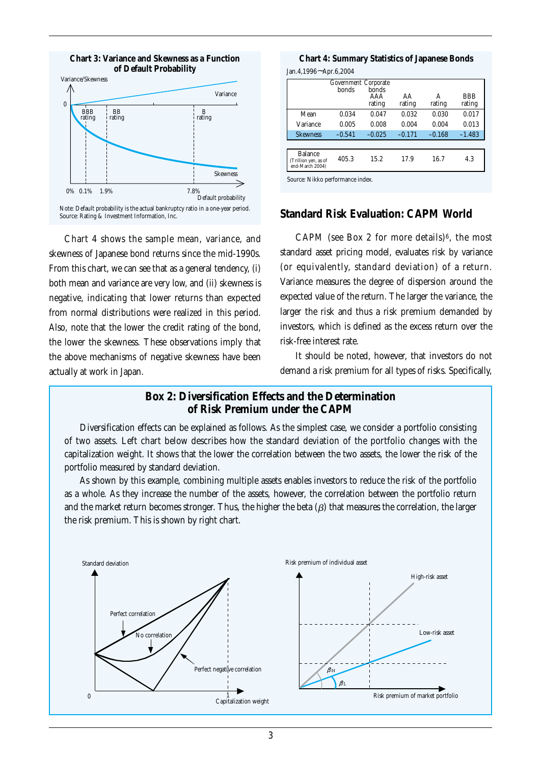

**Chart 3: Variance and Skewness as a Function**

Chart 4 shows the sample mean, variance, and skewness of Japanese bond returns since the mid-1990s. From this chart, we can see that as a general tendency, (i) both mean and variance are very low, and (ii) skewness is negative, indicating that lower returns than expected from normal distributions were realized in this period. Also, note that the lower the credit rating of the bond, the lower the skewness. These observations imply that the above mechanisms of negative skewness have been actually at work in Japan.

Jan.4,1996~Apr.6,2004 **Chart 4: Summary Statistics of Japanese Bonds**

| Government Corporate<br>bonds<br>bonds |               |              |             |                      |  |  |
|----------------------------------------|---------------|--------------|-------------|----------------------|--|--|
|                                        | AAA<br>rating | AA<br>rating | A<br>rating | <b>BBB</b><br>rating |  |  |
| 0.034                                  | 0.047         | 0.032        | 0.030       | 0.017                |  |  |
| 0.005                                  | 0.008         | 0.004        | 0.004       | 0.013                |  |  |
| $-0.541$                               | $-0.025$      | $-0.171$     | $-0.168$    | $-1.483$             |  |  |
|                                        |               |              |             |                      |  |  |
| 405.3                                  | 15.2          | 17.9         | 16.7        | 4.3                  |  |  |
|                                        |               |              |             |                      |  |  |

#### **Standard Risk Evaluation: CAPM World**

CAPM (see Box 2 for more details) $6$ , the most standard asset pricing model, evaluates risk by variance (or equivalently, standard deviation) of a return. Variance measures the degree of dispersion around the expected value of the return. The larger the variance, the larger the risk and thus a risk premium demanded by investors, which is defined as the excess return over the risk-free interest rate.

It should be noted, however, that investors do not demand a risk premium for all types of risks. Specifically,

### **Box 2: Diversification Effects and the Determination of Risk Premium under the CAPM**

Diversification effects can be explained as follows. As the simplest case, we consider a portfolio consisting of two assets. Left chart below describes how the standard deviation of the portfolio changes with the capitalization weight. It shows that the lower the correlation between the two assets, the lower the risk of the portfolio measured by standard deviation.

As shown by this example, combining multiple assets enables investors to reduce the risk of the portfolio as a whole. As they increase the number of the assets, however, the correlation between the portfolio return and the market return becomes stronger. Thus, the higher the beta ( $\beta$ ) that measures the correlation, the larger the risk premium. This is shown by right chart.

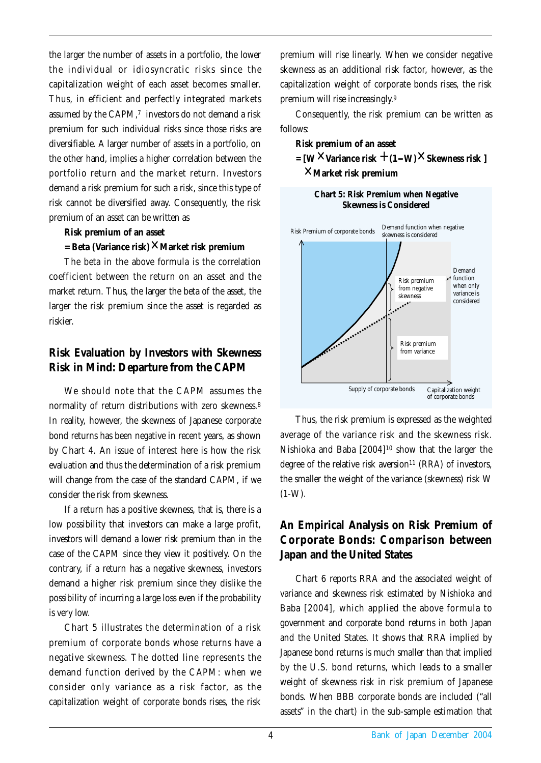the larger the number of assets in a portfolio, the lower the individual or idiosyncratic risks since the capitalization weight of each asset becomes smaller. Thus, in efficient and perfectly integrated markets assumed by the CAPM,<sup>7</sup> investors do not demand a risk premium for such individual risks since those risks are diversifiable. A larger number of assets in a portfolio, on the other hand, implies a higher correlation between the portfolio return and the market return. Investors demand a risk premium for such a risk, since this type of risk cannot be diversified away. Consequently, the risk premium of an asset can be written as

#### **Risk premium of an asset**

#### = Beta (Variance risk)×Market risk premium

The beta in the above formula is the correlation coefficient between the return on an asset and the market return. Thus, the larger the beta of the asset, the larger the risk premium since the asset is regarded as riskier.

## **Risk Evaluation by Investors with Skewness Risk in Mind: Departure from the CAPM**

We should note that the CAPM assumes the normality of return distributions with zero skewness.8 In reality, however, the skewness of Japanese corporate bond returns has been negative in recent years, as shown by Chart 4. An issue of interest here is how the risk evaluation and thus the determination of a risk premium will change from the case of the standard CAPM, if we consider the risk from skewness.

If a return has a positive skewness, that is, there is a low possibility that investors can make a large profit, investors will demand a lower risk premium than in the case of the CAPM since they view it positively. On the contrary, if a return has a negative skewness, investors demand a higher risk premium since they dislike the possibility of incurring a large loss even if the probability is very low.

Chart 5 illustrates the determination of a risk premium of corporate bonds whose returns have a negative skewness. The dotted line represents the demand function derived by the CAPM: when we consider only variance as a risk factor, as the capitalization weight of corporate bonds rises, the risk

premium will rise linearly. When we consider negative skewness as an additional risk factor, however, as the capitalization weight of corporate bonds rises, the risk premium will rise increasingly.9

Consequently, the risk premium can be written as follows:

#### **Risk premium of an asset**

 $=$   $[W \times \text{Variance risk} + (1-W) \times \text{Skewness risk}$  ] **Market risk premium** +



**Chart 5: Risk Premium when Negative Skewness is Considered**

Thus, the risk premium is expressed as the weighted average of the variance risk and the skewness risk. Nishioka and Baba [2004]10 show that the larger the degree of the relative risk aversion<sup>11</sup> (RRA) of investors, the smaller the weight of the variance (skewness) risk W  $(1-W)$ .

## **An Empirical Analysis on Risk Premium of Corporate Bonds: Comparison between Japan and the United States**

Chart 6 reports RRA and the associated weight of variance and skewness risk estimated by Nishioka and Baba [2004], which applied the above formula to government and corporate bond returns in both Japan and the United States. It shows that RRA implied by Japanese bond returns is much smaller than that implied by the U.S. bond returns, which leads to a smaller weight of skewness risk in risk premium of Japanese bonds. When BBB corporate bonds are included ("all assets" in the chart) in the sub-sample estimation that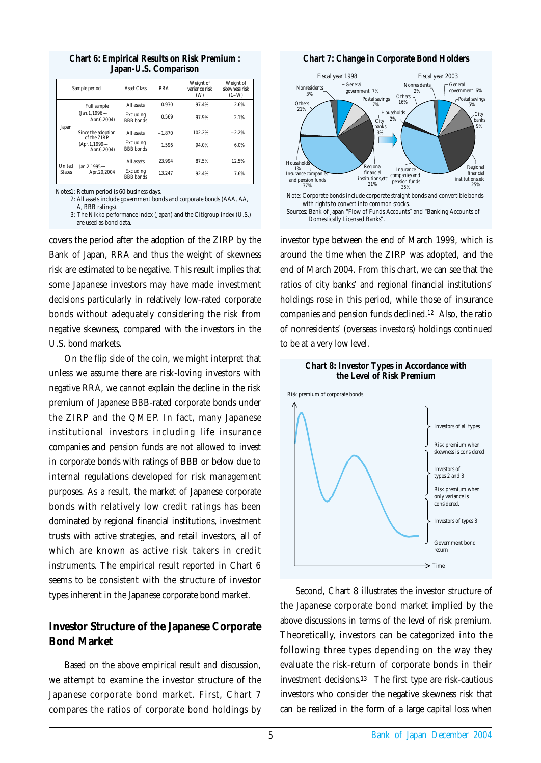|                                                                                                                                      | Sample period                  | <b>Asset Class</b>            | <b>RRA</b> | Weight of<br>variance risk<br>(W) | Weight of<br>skewness risk<br>$(1-W)$ |
|--------------------------------------------------------------------------------------------------------------------------------------|--------------------------------|-------------------------------|------------|-----------------------------------|---------------------------------------|
| <b>Full sample</b><br>$(Jan.1.1996 -$<br>Apr.6,2004)<br>Japan<br>Since the adoption<br>of the ZIRP<br>$(Apr.1.1999 -$<br>Apr.6,2004) | All assets                     | 0.930                         | 97.4%      | 2.6%                              |                                       |
|                                                                                                                                      | Excluding<br><b>BBB</b> bonds  | 0.569                         | 97.9%      | 2.1%                              |                                       |
|                                                                                                                                      |                                | All assets                    | $-1.870$   | 102.2%                            | $-2.2%$                               |
|                                                                                                                                      | Excluding<br><b>BBB</b> bonds  | 1.596                         | 94.0%      | 6.0%                              |                                       |
| <b>United</b><br><b>States</b>                                                                                                       | Jan. 2.1995 $-$<br>Apr.20,2004 | All assets                    | 23.994     | 87.5%                             | 12.5%                                 |
|                                                                                                                                      |                                | Excluding<br><b>BBB</b> bonds | 13.247     | 92.4%                             | 7.6%                                  |

#### **Chart 6: Empirical Results on Risk Premium : Japan-U.S. Comparison**

Notes1: Return period is 60 business days.

2: All assets include government bonds and corporate bonds (AAA, AA,

A, BBB ratings). 3: The Nikko performance index (Japan) and the Citigroup index (U.S.)

are used as bond data.

covers the period after the adoption of the ZIRP by the Bank of Japan, RRA and thus the weight of skewness risk are estimated to be negative. This result implies that some Japanese investors may have made investment decisions particularly in relatively low-rated corporate bonds without adequately considering the risk from negative skewness, compared with the investors in the U.S. bond markets.

On the flip side of the coin, we might interpret that unless we assume there are risk-loving investors with negative RRA, we cannot explain the decline in the risk premium of Japanese BBB-rated corporate bonds under the ZIRP and the QMEP. In fact, many Japanese institutional investors including life insurance companies and pension funds are not allowed to invest in corporate bonds with ratings of BBB or below due to internal regulations developed for risk management purposes. As a result, the market of Japanese corporate bonds with relatively low credit ratings has been dominated by regional financial institutions, investment trusts with active strategies, and retail investors, all of which are known as active risk takers in credit instruments. The empirical result reported in Chart 6 seems to be consistent with the structure of investor types inherent in the Japanese corporate bond market.

## **Investor Structure of the Japanese Corporate Bond Market**

Based on the above empirical result and discussion, we attempt to examine the investor structure of the Japanese corporate bond market. First, Chart 7 compares the ratios of corporate bond holdings by

**Chart 7: Change in Corporate Bond Holders**



investor type between the end of March 1999, which is around the time when the ZIRP was adopted, and the end of March 2004. From this chart, we can see that the ratios of city banks' and regional financial institutions' holdings rose in this period, while those of insurance companies and pension funds declined.12 Also, the ratio of nonresidents' (overseas investors) holdings continued to be at a very low level.





Second, Chart 8 illustrates the investor structure of the Japanese corporate bond market implied by the above discussions in terms of the level of risk premium. Theoretically, investors can be categorized into the following three types depending on the way they evaluate the risk-return of corporate bonds in their investment decisions.13 The first type are risk-cautious investors who consider the negative skewness risk that can be realized in the form of a large capital loss when